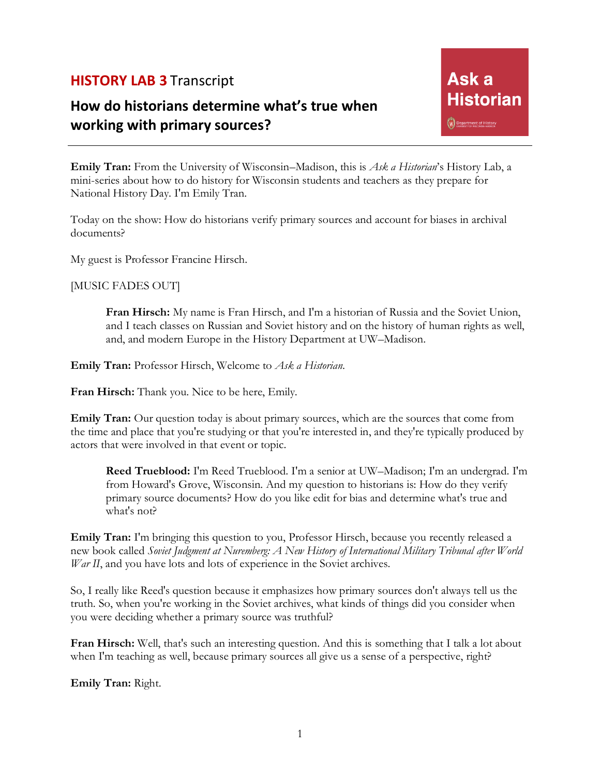## **HISTORY LAB 3** Transcript

## **How do historians determine what's true when working with primary sources?**

**Emily Tran:** From the University of Wisconsin–Madison, this is *Ask a Historian*'s History Lab, a mini-series about how to do history for Wisconsin students and teachers as they prepare for National History Day. I'm Emily Tran.

Today on the show: How do historians verify primary sources and account for biases in archival documents?

My guest is Professor Francine Hirsch.

[MUSIC FADES OUT]

**Fran Hirsch:** My name is Fran Hirsch, and I'm a historian of Russia and the Soviet Union, and I teach classes on Russian and Soviet history and on the history of human rights as well, and, and modern Europe in the History Department at UW–Madison.

**Emily Tran:** Professor Hirsch, Welcome to *Ask a Historian*.

**Fran Hirsch:** Thank you. Nice to be here, Emily.

**Emily Tran:** Our question today is about primary sources, which are the sources that come from the time and place that you're studying or that you're interested in, and they're typically produced by actors that were involved in that event or topic.

**Reed Trueblood:** I'm Reed Trueblood. I'm a senior at UW–Madison; I'm an undergrad. I'm from Howard's Grove, Wisconsin. And my question to historians is: How do they verify primary source documents? How do you like edit for bias and determine what's true and what's not?

**Emily Tran:** I'm bringing this question to you, Professor Hirsch, because you recently released a new book called *Soviet Judgment at Nuremberg: A New History of International Military Tribunal after World War II*, and you have lots and lots of experience in the Soviet archives.

So, I really like Reed's question because it emphasizes how primary sources don't always tell us the truth. So, when you're working in the Soviet archives, what kinds of things did you consider when you were deciding whether a primary source was truthful?

**Fran Hirsch:** Well, that's such an interesting question. And this is something that I talk a lot about when I'm teaching as well, because primary sources all give us a sense of a perspective, right?

**Emily Tran:** Right.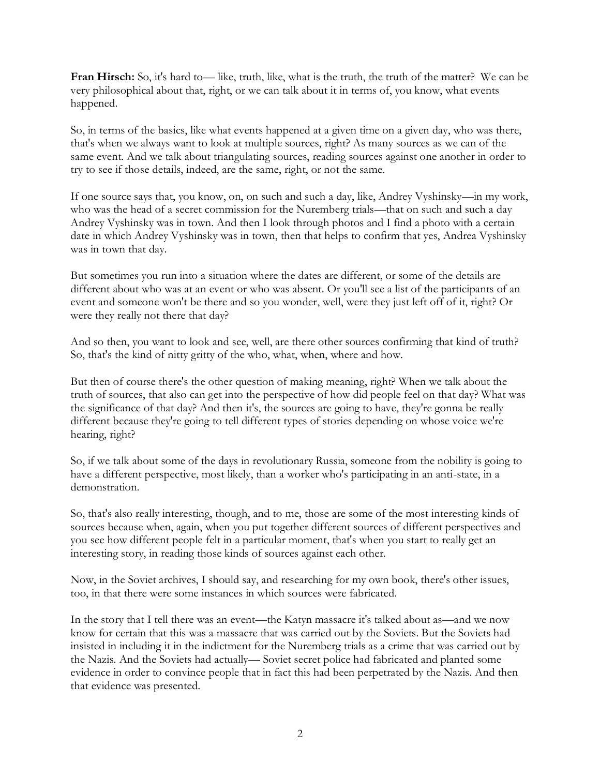**Fran Hirsch:** So, it's hard to— like, truth, like, what is the truth, the truth of the matter? We can be very philosophical about that, right, or we can talk about it in terms of, you know, what events happened.

So, in terms of the basics, like what events happened at a given time on a given day, who was there, that's when we always want to look at multiple sources, right? As many sources as we can of the same event. And we talk about triangulating sources, reading sources against one another in order to try to see if those details, indeed, are the same, right, or not the same.

If one source says that, you know, on, on such and such a day, like, Andrey Vyshinsky—in my work, who was the head of a secret commission for the Nuremberg trials—that on such and such a day Andrey Vyshinsky was in town. And then I look through photos and I find a photo with a certain date in which Andrey Vyshinsky was in town, then that helps to confirm that yes, Andrea Vyshinsky was in town that day.

But sometimes you run into a situation where the dates are different, or some of the details are different about who was at an event or who was absent. Or you'll see a list of the participants of an event and someone won't be there and so you wonder, well, were they just left off of it, right? Or were they really not there that day?

And so then, you want to look and see, well, are there other sources confirming that kind of truth? So, that's the kind of nitty gritty of the who, what, when, where and how.

But then of course there's the other question of making meaning, right? When we talk about the truth of sources, that also can get into the perspective of how did people feel on that day? What was the significance of that day? And then it's, the sources are going to have, they're gonna be really different because they're going to tell different types of stories depending on whose voice we're hearing, right?

So, if we talk about some of the days in revolutionary Russia, someone from the nobility is going to have a different perspective, most likely, than a worker who's participating in an anti-state, in a demonstration.

So, that's also really interesting, though, and to me, those are some of the most interesting kinds of sources because when, again, when you put together different sources of different perspectives and you see how different people felt in a particular moment, that's when you start to really get an interesting story, in reading those kinds of sources against each other.

Now, in the Soviet archives, I should say, and researching for my own book, there's other issues, too, in that there were some instances in which sources were fabricated.

In the story that I tell there was an event—the Katyn massacre it's talked about as—and we now know for certain that this was a massacre that was carried out by the Soviets. But the Soviets had insisted in including it in the indictment for the Nuremberg trials as a crime that was carried out by the Nazis. And the Soviets had actually— Soviet secret police had fabricated and planted some evidence in order to convince people that in fact this had been perpetrated by the Nazis. And then that evidence was presented.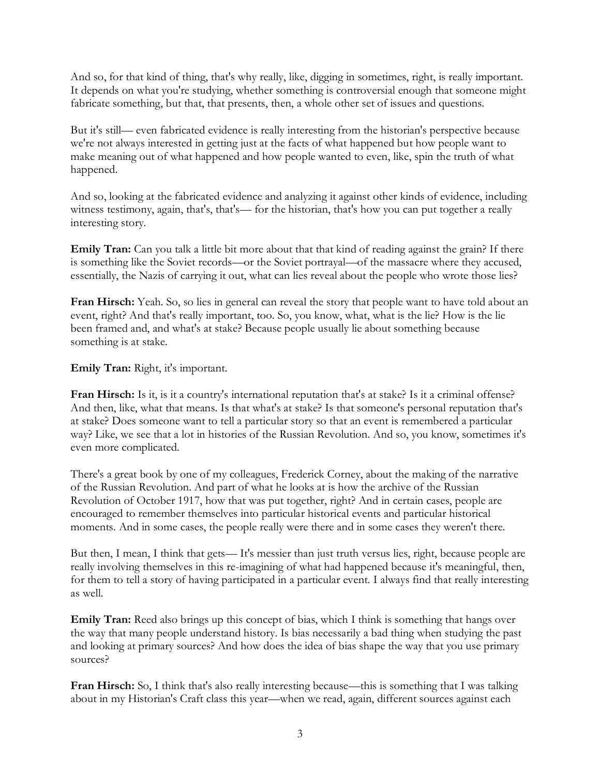And so, for that kind of thing, that's why really, like, digging in sometimes, right, is really important. It depends on what you're studying, whether something is controversial enough that someone might fabricate something, but that, that presents, then, a whole other set of issues and questions.

But it's still— even fabricated evidence is really interesting from the historian's perspective because we're not always interested in getting just at the facts of what happened but how people want to make meaning out of what happened and how people wanted to even, like, spin the truth of what happened.

And so, looking at the fabricated evidence and analyzing it against other kinds of evidence, including witness testimony, again, that's, that's— for the historian, that's how you can put together a really interesting story.

**Emily Tran:** Can you talk a little bit more about that that kind of reading against the grain? If there is something like the Soviet records—or the Soviet portrayal—of the massacre where they accused, essentially, the Nazis of carrying it out, what can lies reveal about the people who wrote those lies?

**Fran Hirsch:** Yeah. So, so lies in general can reveal the story that people want to have told about an event, right? And that's really important, too. So, you know, what, what is the lie? How is the lie been framed and, and what's at stake? Because people usually lie about something because something is at stake.

**Emily Tran:** Right, it's important.

**Fran Hirsch:** Is it, is it a country's international reputation that's at stake? Is it a criminal offense? And then, like, what that means. Is that what's at stake? Is that someone's personal reputation that's at stake? Does someone want to tell a particular story so that an event is remembered a particular way? Like, we see that a lot in histories of the Russian Revolution. And so, you know, sometimes it's even more complicated.

There's a great book by one of my colleagues, Frederick Corney, about the making of the narrative of the Russian Revolution. And part of what he looks at is how the archive of the Russian Revolution of October 1917, how that was put together, right? And in certain cases, people are encouraged to remember themselves into particular historical events and particular historical moments. And in some cases, the people really were there and in some cases they weren't there.

But then, I mean, I think that gets— It's messier than just truth versus lies, right, because people are really involving themselves in this re-imagining of what had happened because it's meaningful, then, for them to tell a story of having participated in a particular event. I always find that really interesting as well.

Emily Tran: Reed also brings up this concept of bias, which I think is something that hangs over the way that many people understand history. Is bias necessarily a bad thing when studying the past and looking at primary sources? And how does the idea of bias shape the way that you use primary sources?

**Fran Hirsch:** So, I think that's also really interesting because—this is something that I was talking about in my Historian's Craft class this year—when we read, again, different sources against each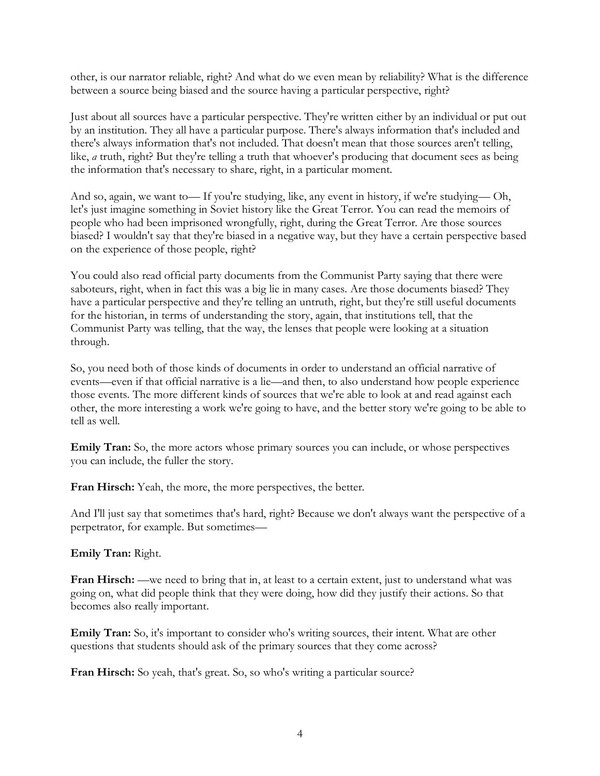other, is our narrator reliable, right? And what do we even mean by reliability? What is the difference between a source being biased and the source having a particular perspective, right?

Just about all sources have a particular perspective. They're written either by an individual or put out by an institution. They all have a particular purpose. There's always information that's included and there's always information that's not included. That doesn't mean that those sources aren't telling, like, *a* truth, right? But they're telling a truth that whoever's producing that document sees as being the information that's necessary to share, right, in a particular moment.

And so, again, we want to— If you're studying, like, any event in history, if we're studying— Oh, let's just imagine something in Soviet history like the Great Terror. You can read the memoirs of people who had been imprisoned wrongfully, right, during the Great Terror. Are those sources biased? I wouldn't say that they're biased in a negative way, but they have a certain perspective based on the experience of those people, right?

You could also read official party documents from the Communist Party saying that there were saboteurs, right, when in fact this was a big lie in many cases. Are those documents biased? They have a particular perspective and they're telling an untruth, right, but they're still useful documents for the historian, in terms of understanding the story, again, that institutions tell, that the Communist Party was telling, that the way, the lenses that people were looking at a situation through.

So, you need both of those kinds of documents in order to understand an official narrative of events—even if that official narrative is a lie—and then, to also understand how people experience those events. The more different kinds of sources that we're able to look at and read against each other, the more interesting a work we're going to have, and the better story we're going to be able to tell as well.

**Emily Tran:** So, the more actors whose primary sources you can include, or whose perspectives you can include, the fuller the story.

**Fran Hirsch:** Yeah, the more, the more perspectives, the better.

And I'll just say that sometimes that's hard, right? Because we don't always want the perspective of a perpetrator, for example. But sometimes—

**Emily Tran:** Right.

**Fran Hirsch:** —we need to bring that in, at least to a certain extent, just to understand what was going on, what did people think that they were doing, how did they justify their actions. So that becomes also really important.

**Emily Tran:** So, it's important to consider who's writing sources, their intent. What are other questions that students should ask of the primary sources that they come across?

**Fran Hirsch:** So yeah, that's great. So, so who's writing a particular source?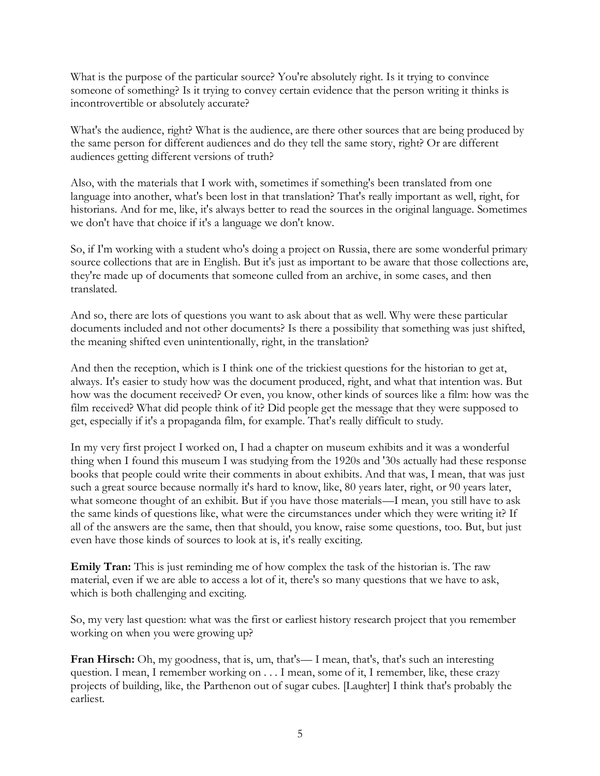What is the purpose of the particular source? You're absolutely right. Is it trying to convince someone of something? Is it trying to convey certain evidence that the person writing it thinks is incontrovertible or absolutely accurate?

What's the audience, right? What is the audience, are there other sources that are being produced by the same person for different audiences and do they tell the same story, right? Or are different audiences getting different versions of truth?

Also, with the materials that I work with, sometimes if something's been translated from one language into another, what's been lost in that translation? That's really important as well, right, for historians. And for me, like, it's always better to read the sources in the original language. Sometimes we don't have that choice if it's a language we don't know.

So, if I'm working with a student who's doing a project on Russia, there are some wonderful primary source collections that are in English. But it's just as important to be aware that those collections are, they're made up of documents that someone culled from an archive, in some cases, and then translated.

And so, there are lots of questions you want to ask about that as well. Why were these particular documents included and not other documents? Is there a possibility that something was just shifted, the meaning shifted even unintentionally, right, in the translation?

And then the reception, which is I think one of the trickiest questions for the historian to get at, always. It's easier to study how was the document produced, right, and what that intention was. But how was the document received? Or even, you know, other kinds of sources like a film: how was the film received? What did people think of it? Did people get the message that they were supposed to get, especially if it's a propaganda film, for example. That's really difficult to study.

In my very first project I worked on, I had a chapter on museum exhibits and it was a wonderful thing when I found this museum I was studying from the 1920s and '30s actually had these response books that people could write their comments in about exhibits. And that was, I mean, that was just such a great source because normally it's hard to know, like, 80 years later, right, or 90 years later, what someone thought of an exhibit. But if you have those materials—I mean, you still have to ask the same kinds of questions like, what were the circumstances under which they were writing it? If all of the answers are the same, then that should, you know, raise some questions, too. But, but just even have those kinds of sources to look at is, it's really exciting.

**Emily Tran:** This is just reminding me of how complex the task of the historian is. The raw material, even if we are able to access a lot of it, there's so many questions that we have to ask, which is both challenging and exciting.

So, my very last question: what was the first or earliest history research project that you remember working on when you were growing up?

**Fran Hirsch:** Oh, my goodness, that is, um, that's—I mean, that's, that's such an interesting question. I mean, I remember working on . . . I mean, some of it, I remember, like, these crazy projects of building, like, the Parthenon out of sugar cubes. [Laughter] I think that's probably the earliest.